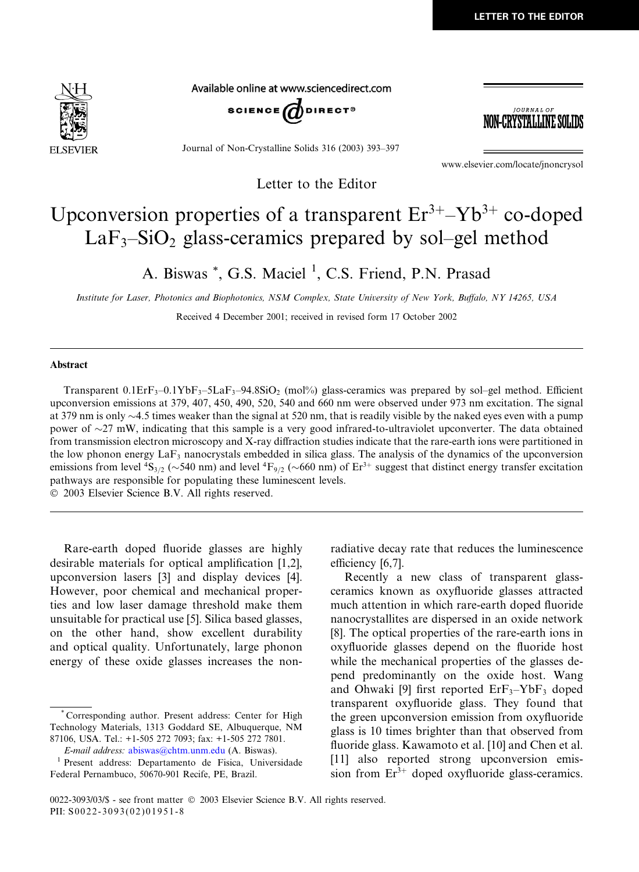

Available online at www.sciencedirect.com



Journal of Non-Crystalline Solids 316 (2003) 393–397

*JOURNAL OF* -CRYSTALLINE SOLIDS

www.elsevier.com/locate/jnoncrysol

## Upconversion properties of a transparent  $Er^{3+} - Yb^{3+}$  co-doped  $LaF<sub>3</sub>–SiO<sub>2</sub> glass-ceramics prepared by sol–gel method$

Letter to the Editor

A. Biswas \*, G.S. Maciel <sup>1</sup>, C.S. Friend, P.N. Prasad

Institute for Laser, Photonics and Biophotonics, NSM Complex, State University of New York, Buffalo, NY 14265, USA

Received 4 December 2001; received in revised form 17 October 2002

## Abstract

Transparent  $0.1E$ r $F_3$ – $0.1YbF_3$ – $5LaF_3$ – $94.8SiO_2$  (mol%) glass-ceramics was prepared by sol–gel method. Efficient upconversion emissions at 379, 407, 450, 490, 520, 540 and 660 nm were observed under 973 nm excitation.The signal at 379 nm is only  $\sim$ 4.5 times weaker than the signal at 520 nm, that is readily visible by the naked eyes even with a pump power of  $\sim$ 27 mW, indicating that this sample is a very good infrared-to-ultraviolet upconverter. The data obtained from transmission electron microscopy and X-ray diffraction studies indicate that the rare-earth ions were partitioned in the low phonon energy  $\text{LaF}_3$  nanocrystals embedded in silica glass. The analysis of the dynamics of the upconversion emissions from level  ${}^{4}S_{3/2}$  ( $\sim$ 540 nm) and level  ${}^{4}F_{9/2}$  ( $\sim$ 660 nm) of Er<sup>3+</sup> suggest that distinct energy transfer excitation pathways are responsible for populating these luminescent levels.

2003 Elsevier Science B.V. All rights reserved.

Rare-earth doped fluoride glasses are highly desirable materials for optical amplification [1,2], upconversion lasers [3] and display devices [4]. However, poor chemical and mechanical properties and low laser damage threshold make them unsuitable for practical use [5]. Silica based glasses, on the other hand, show excellent durability and optical quality.Unfortunately, large phonon energy of these oxide glasses increases the nonradiative decay rate that reduces the luminescence efficiency [6,7].

Recently a new class of transparent glassceramics known as oxyfluoride glasses attracted much attention in which rare-earth doped fluoride nanocrystallites are dispersed in an oxide network [8].The optical properties of the rare-earth ions in oxyfluoride glasses depend on the fluoride host while the mechanical properties of the glasses depend predominantly on the oxide host.Wang and Ohwaki [9] first reported  $Erf_{3}-YbF_{3}$  doped transparent oxyfluoride glass.They found that the green upconversion emission from oxyfluoride glass is 10 times brighter than that observed from fluoride glass. Kawamoto et al. [10] and Chen et al. [11] also reported strong upconversion emission from  $Er^{3+}$  doped oxyfluoride glass-ceramics.

Corresponding author. Present address: Center for High Technology Materials, 1313 Goddard SE, Albuquerque, NM 87106, USA.Tel.: +1-505 272 7093; fax: +1-505 272 7801.

E-mail address: [abiswas@chtm.unm.edu](mail to: abiswas@chtm.unm.edu) (A.Biswas).

<sup>1</sup> Present address: Departamento de Fisica, Universidade Federal Pernambuco, 50670-901 Recife, PE, Brazil.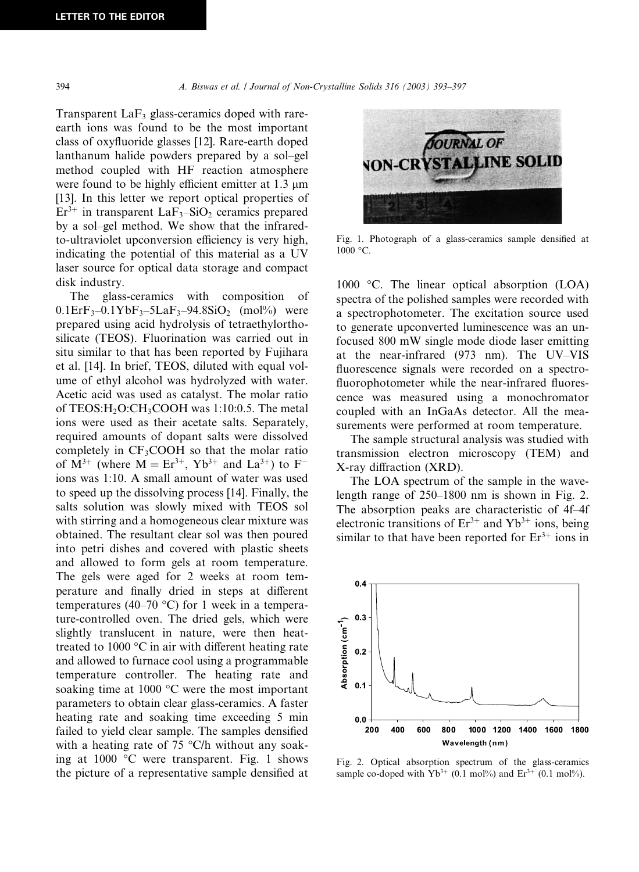Transparent  $LaF<sub>3</sub>$  glass-ceramics doped with rareearth ions was found to be the most important class of oxyfluoride glasses [12]. Rare-earth doped lanthanum halide powders prepared by a sol–gel method coupled with HF reaction atmosphere were found to be highly efficient emitter at  $1.3 \mu m$ [13]. In this letter we report optical properties of  $Er<sup>3+</sup>$  in transparent LaF<sub>3</sub>–SiO<sub>2</sub> ceramics prepared by a sol–gel method.We show that the infraredto-ultraviolet upconversion efficiency is very high, indicating the potential of this material as a UV laser source for optical data storage and compact disk industry.

The glass-ceramics with composition of  $0.1E$ rF<sub>3</sub>– $0.1YbF_3$ – $5LaF_3$ – $94.8SiO_2$  (mol%) were prepared using acid hydrolysis of tetraethylorthosilicate (TEOS). Fluorination was carried out in situ similar to that has been reported by Fujihara et al.[14].In brief, TEOS, diluted with equal volume of ethyl alcohol was hydrolyzed with water. Acetic acid was used as catalyst.The molar ratio of TEOS:H<sub>2</sub>O:CH<sub>3</sub>COOH was 1:10:0.5. The metal ions were used as their acetate salts. Separately, required amounts of dopant salts were dissolved completely in  $CF_3COOH$  so that the molar ratio of  $M^{3+}$  (where  $M = Er^{3+}$ ,  $Yb^{3+}$  and  $La^{3+}$ ) to  $F^{-}$ ions was 1:10. A small amount of water was used to speed up the dissolving process [14].Finally, the salts solution was slowly mixed with TEOS sol with stirring and a homogeneous clear mixture was obtained.The resultant clear sol was then poured into petri dishes and covered with plastic sheets and allowed to form gels at room temperature. The gels were aged for 2 weeks at room temperature and finally dried in steps at different temperatures (40–70 °C) for 1 week in a temperature-controlled oven.The dried gels, which were slightly translucent in nature, were then heattreated to 1000  $\mathrm{^{\circ}C}$  in air with different heating rate and allowed to furnace cool using a programmable temperature controller.The heating rate and soaking time at 1000  $^{\circ}$ C were the most important parameters to obtain clear glass-ceramics.A faster heating rate and soaking time exceeding 5 min failed to yield clear sample. The samples densified with a heating rate of  $75 \text{ °C/h}$  without any soaking at 1000  $\degree$ C were transparent. Fig. 1 shows the picture of a representative sample densified at



Fig.1.Photograph of a glass-ceramics sample densified at  $1000 °C$ .

1000 °C. The linear optical absorption (LOA) spectra of the polished samples were recorded with a spectrophotometer.The excitation source used to generate upconverted luminescence was an unfocused 800 mW single mode diode laser emitting at the near-infrared (973 nm). The UV–VIS fluorescence signals were recorded on a spectrofluorophotometer while the near-infrared fluorescence was measured using a monochromator coupled with an InGaAs detector. All the measurements were performed at room temperature.

The sample structural analysis was studied with transmission electron microscopy (TEM) and X-ray diffraction (XRD).

The LOA spectrum of the sample in the wavelength range of 250–1800 nm is shown in Fig.2. The absorption peaks are characteristic of 4f–4f electronic transitions of  $Er^{3+}$  and  $Yb^{3+}$  ions, being similar to that have been reported for  $Er^{3+}$  ions in



Fig.2. Optical absorption spectrum of the glass-ceramics sample co-doped with  $Yb^{3+}$  (0.1 mol%) and  $Er^{3+}$  (0.1 mol%).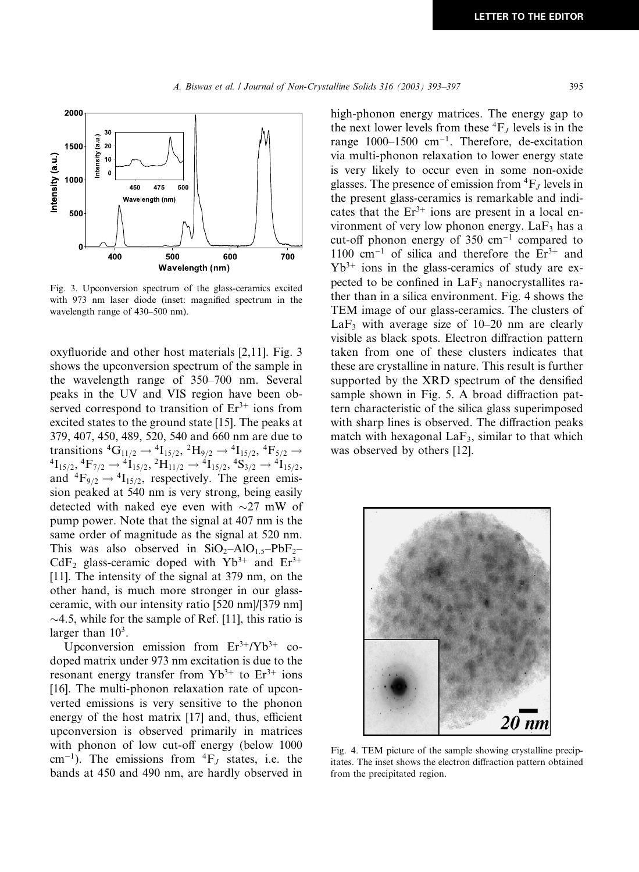

Fig.3.Upconversion spectrum of the glass-ceramics excited with 973 nm laser diode (inset: magnified spectrum in the wavelength range of 430–500 nm).

oxyfluoride and other host materials  $[2,11]$ . Fig. 3 shows the upconversion spectrum of the sample in the wavelength range of 350–700 nm. Several peaks in the UV and VIS region have been observed correspond to transition of  $Er^{3+}$  ions from excited states to the ground state [15]. The peaks at 379, 407, 450, 489, 520, 540 and 660 nm are due to transitions  ${}^4G_{11/2} \rightarrow {}^4I_{15/2}$ ,  ${}^2H_{9/2} \rightarrow {}^4I_{15/2}$ ,  ${}^4F_{5/2} \rightarrow$  ${}^{4}I_{15/2}, {}^{4}F_{7/2} \rightarrow {}^{4}I_{15/2}, {}^{2}H_{11/2} \rightarrow {}^{4}I_{15/2}, {}^{4}S_{3/2} \rightarrow {}^{4}I_{15/2},$ and  ${}^{4}F_{9/2} \rightarrow {}^{4}I_{15/2}$ , respectively. The green emission peaked at 540 nm is very strong, being easily detected with naked eye even with  $\sim$ 27 mW of pump power. Note that the signal at 407 nm is the same order of magnitude as the signal at 520 nm. This was also observed in  $SiO<sub>2</sub>–AlO<sub>1.5</sub>–PbF<sub>2</sub>–$ CdF<sub>2</sub> glass-ceramic doped with  $Yb^{3+}$  and  $Er^{3+}$ [11]. The intensity of the signal at 379 nm, on the other hand, is much more stronger in our glassceramic, with our intensity ratio [520 nm]/[379 nm]  $\sim$ 4.5, while for the sample of Ref. [11], this ratio is larger than  $10<sup>3</sup>$ .

Upconversion emission from  $Er^{3+}/Yb^{3+}$  codoped matrix under 973 nm excitation is due to the resonant energy transfer from  $Yb^{3+}$  to  $Er^{3+}$  ions [16]. The multi-phonon relaxation rate of upconverted emissions is very sensitive to the phonon energy of the host matrix [17] and, thus, efficient upconversion is observed primarily in matrices with phonon of low cut-off energy (below 1000 cm<sup>-1</sup>). The emissions from  ${}^{4}F_J$  states, i.e. the bands at 450 and 490 nm, are hardly observed in

high-phonon energy matrices. The energy gap to the next lower levels from these  ${}^4F_J$  levels is in the range  $1000-1500$  cm<sup>-1</sup>. Therefore, de-excitation via multi-phonon relaxation to lower energy state is very likely to occur even in some non-oxide glasses. The presence of emission from  ${}^{4}F_J$  levels in the present glass-ceramics is remarkable and indicates that the  $Er^{3+}$  ions are present in a local environment of very low phonon energy.  $LaF<sub>3</sub>$  has a cut-off phonon energy of 350  $cm^{-1}$  compared to 1100  $cm^{-1}$  of silica and therefore the  $Er^{3+}$  and  $Yb^{3+}$  ions in the glass-ceramics of study are expected to be confined in  $LaF<sub>3</sub>$  nanocrystallites rather than in a silica environment. Fig. 4 shows the TEM image of our glass-ceramics.The clusters of LaF<sub>3</sub> with average size of  $10-20$  nm are clearly visible as black spots.Electron diffraction pattern taken from one of these clusters indicates that these are crystalline in nature.This result is further supported by the XRD spectrum of the densified sample shown in Fig. 5. A broad diffraction pattern characteristic of the silica glass superimposed with sharp lines is observed. The diffraction peaks match with hexagonal  $LaF_3$ , similar to that which was observed by others [12].



Fig.4.TEM picture of the sample showing crystalline precipitates.The inset shows the electron diffraction pattern obtained from the precipitated region.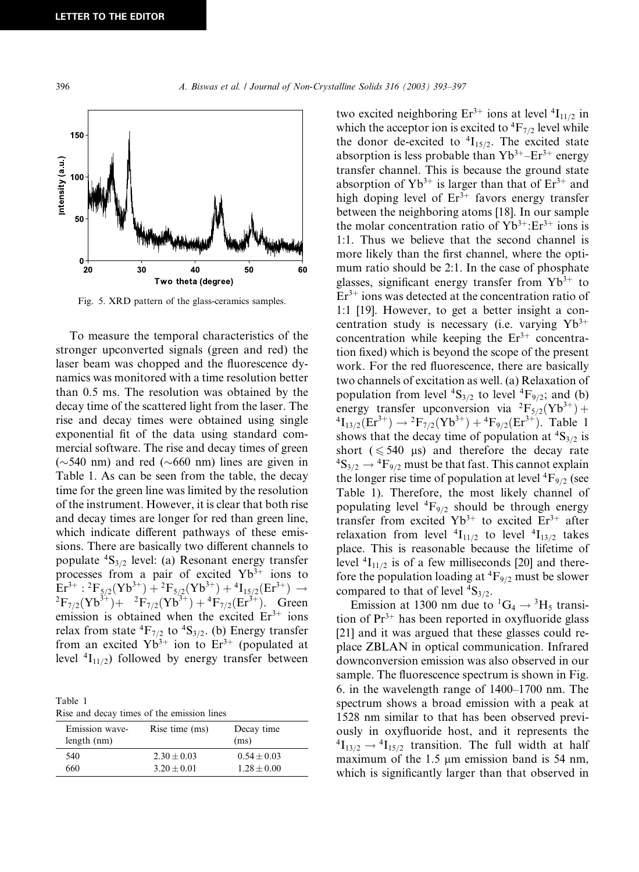

Fig. 5. XRD pattern of the glass-ceramics samples.

To measure the temporal characteristics of the stronger upconverted signals (green and red) the laser beam was chopped and the fluorescence dynamics was monitored with a time resolution better than 0.5 ms. The resolution was obtained by the decay time of the scattered light from the laser.The rise and decay times were obtained using single exponential fit of the data using standard commercial software.The rise and decay times of green  $(\sim)540$  nm) and red ( $\sim$ 660 nm) lines are given in Table 1.As can be seen from the table, the decay time for the green line was limited by the resolution of the instrument.However, it is clear that both rise and decay times are longer for red than green line, which indicate different pathways of these emissions.There are basically two different channels to populate  ${}^{4}S_{3/2}$  level: (a) Resonant energy transfer processes from a pair of excited  $Yb^{3+}$  ions to  $\text{Er}^{3+}: {}^{2}F_{5/2}(Yb^{3+}) + {}^{2}F_{5/2}(Yb^{3+}) + {}^{4}I_{15/2}(\text{Er}^{3+}) \rightarrow$  ${}^{2}F_{7/2}(Yb^{3+})+{}^{2}F_{7/2}(Yb^{3+})+{}^{4}F_{7/2}(Er^{3+})$ . Green emission is obtained when the excited  $Er<sup>3+</sup>$  ions relax from state  ${}^{4}F_{7/2}$  to  ${}^{4}S_{3/2}$ . (b) Energy transfer from an excited  $Yb^{3+}$  ion to  $Er^{3+}$  (populated at level  ${}^{4}I_{11/2}$ ) followed by energy transfer between

Table 1 Rise and decay times of the emission lines

| Emission wave-<br>length (nm) | Rise time (ms)  | Decay time<br>(ms) |
|-------------------------------|-----------------|--------------------|
| 540                           | $2.30 \pm 0.03$ | $0.54 + 0.03$      |
| 660                           | $3.20 + 0.01$   | $1.28 + 0.00$      |

two excited neighboring  $Er^{3+}$  ions at level  $^{4}I_{11/2}$  in which the acceptor ion is excited to  ${}^{4}F_{7/2}$  level while the donor de-excited to  ${}^{4}I_{15/2}$ . The excited state absorption is less probable than  $Yb^{3+} - Er^{3+}$  energy transfer channel.This is because the ground state absorption of  $Yb^{3+}$  is larger than that of  $Er^{3+}$  and high doping level of  $Er^{3+}$  favors energy transfer between the neighboring atoms [18]. In our sample the molar concentration ratio of  $Yb^{3+}$ : $Er^{3+}$  ions is 1:1.Thus we believe that the second channel is more likely than the first channel, where the optimum ratio should be 2:1. In the case of phosphate glasses, significant energy transfer from  $Yb^{3+}$  to  $Er<sup>3+</sup>$  ions was detected at the concentration ratio of 1:1 [19].However, to get a better insight a concentration study is necessary (i.e. varying  $Yb^{3+}$ concentration while keeping the  $Er^{3+}$  concentration fixed) which is beyond the scope of the present work.For the red fluorescence, there are basically two channels of excitation as well.(a) Relaxation of population from level  ${}^{4}S_{3/2}$  to level  ${}^{4}F_{9/2}$ ; and (b) energy transfer upconversion via  ${}^{2}F_{5/2}(Yb^{3+}) +$  ${}^{4}I_{13/2}(Er^{3+}) \rightarrow {}^{2}F_{7/2}(Yb^{3+}) + {}^{4}F_{9/2}(Er^{3+})$ . Table 1 shows that the decay time of population at  ${}^{4}S_{3/2}$  is short ( $\leq 540$  µs) and therefore the decay rate  ${}^{4}S_{3/2} \rightarrow {}^{4}F_{9/2}$  must be that fast. This cannot explain the longer rise time of population at level  ${}^{4}F_{9/2}$  (see Table 1). Therefore, the most likely channel of populating level  ${}^{4}F_{9/2}$  should be through energy transfer from excited  $Yb^{3+}$  to excited  $Er^{3+}$  after relaxation from level  ${}^{4}I_{11/2}$  to level  ${}^{4}I_{13/2}$  takes place.This is reasonable because the lifetime of level  ${}^{4}I_{11/2}$  is of a few milliseconds [20] and therefore the population loading at  ${}^{4}F_{9/2}$  must be slower compared to that of level  ${}^{4}S_{3/2}$ .

Emission at 1300 nm due to <sup>1</sup>G<sub>4</sub>  $\rightarrow$  <sup>3</sup>H<sub>5</sub> transition of  $Pr^{3+}$  has been reported in oxyfluoride glass [21] and it was argued that these glasses could replace ZBLAN in optical communication.Infrared downconversion emission was also observed in our sample. The fluorescence spectrum is shown in Fig. 6.in the wavelength range of 1400–1700 nm.The spectrum shows a broad emission with a peak at 1528 nm similar to that has been observed previously in oxyfluoride host, and it represents the  ${}^{4}I_{13/2} \rightarrow {}^{4}I_{15/2}$  transition. The full width at half maximum of the  $1.5 \mu m$  emission band is 54 nm, which is significantly larger than that observed in